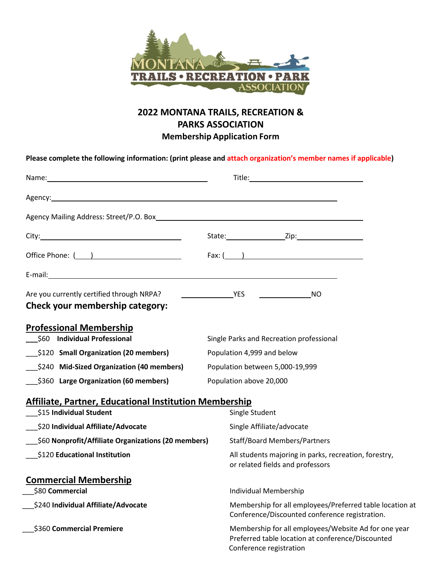

## **2022 MONTANA TRAILS, RECREATION & PARKS ASSOCIATION Membership Application Form**

**Please complete the following information: (print please and attach organization's member names if applicable)**

| Office Phone: ( <u>)</u>                                                     | Fax: $($ $)$                                                                                                                         |
|------------------------------------------------------------------------------|--------------------------------------------------------------------------------------------------------------------------------------|
|                                                                              |                                                                                                                                      |
| Are you currently certified through NRPA?<br>Check your membership category: |                                                                                                                                      |
| <b>Professional Membership</b><br>\$60 Individual Professional               | Single Parks and Recreation professional                                                                                             |
| \$120 Small Organization (20 members)                                        | Population 4,999 and below                                                                                                           |
| \$240 Mid-Sized Organization (40 members)                                    | Population between 5,000-19,999                                                                                                      |
| \$360 Large Organization (60 members)                                        | Population above 20,000                                                                                                              |
| <b>Affiliate, Partner, Educational Institution Membership</b>                |                                                                                                                                      |
| \$15 Individual Student                                                      | Single Student                                                                                                                       |
| \$20 Individual Affiliate/Advocate                                           | Single Affiliate/advocate                                                                                                            |
| \$60 Nonprofit/Affiliate Organizations (20 members)                          | <b>Staff/Board Members/Partners</b>                                                                                                  |
| \$120 Educational Institution                                                | All students majoring in parks, recreation, forestry,<br>or related fields and professors                                            |
| <b>Commercial Membership</b>                                                 |                                                                                                                                      |
| \$80 Commercial                                                              | Individual Membership                                                                                                                |
| \$240 Individual Affiliate/Advocate                                          | Membership for all employees/Preferred table location at<br>Conference/Discounted conference registration.                           |
| \$360 Commercial Premiere                                                    | Membership for all employees/Website Ad for one year<br>Preferred table location at conference/Discounted<br>Conference registration |